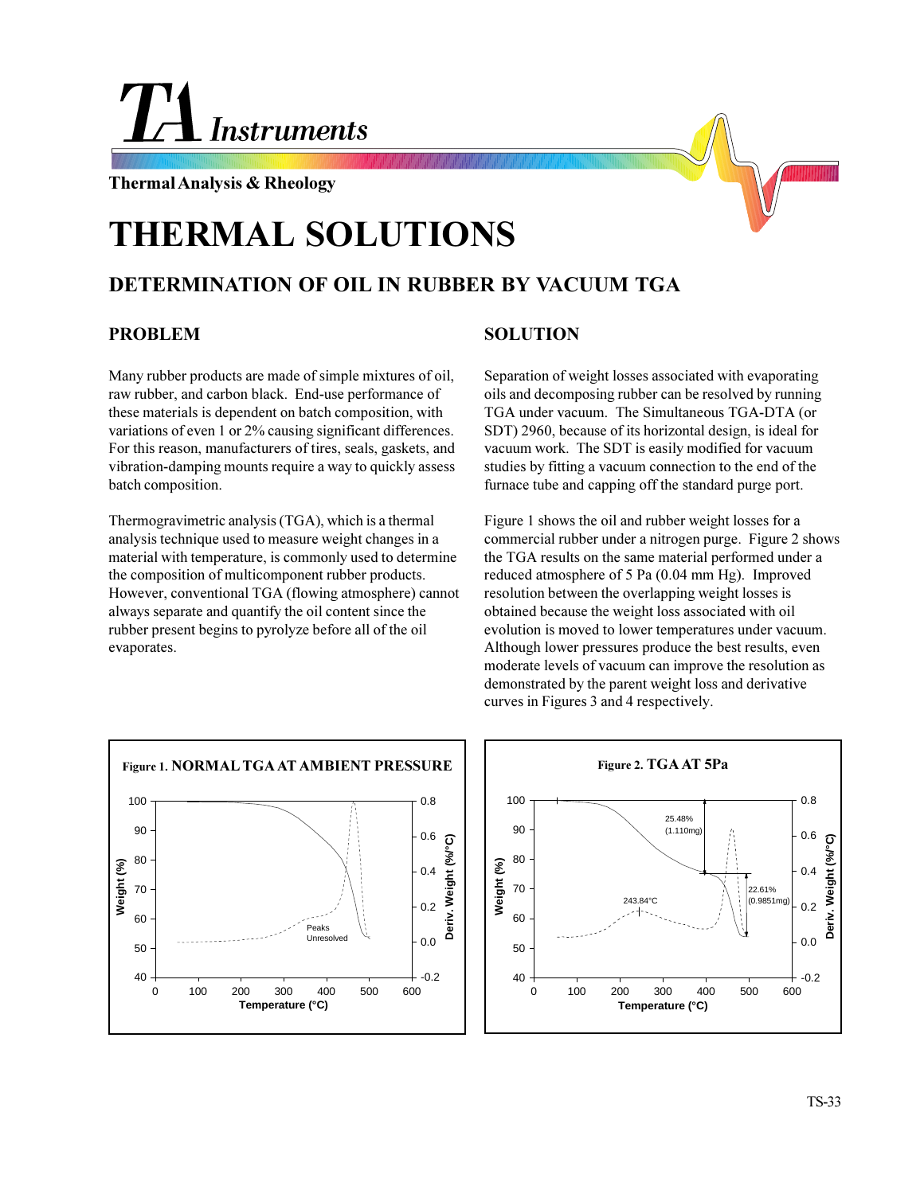# **Instruments**

**Thermal Analysis & Rheology**

# **THERMAL SOLUTIONS**

## **DETERMINATION OF OIL IN RUBBER BY VACUUM TGA**

### **PROBLEM**

Many rubber products are made of simple mixtures of oil, raw rubber, and carbon black. End-use performance of these materials is dependent on batch composition, with variations of even 1 or 2% causing significant differences. For this reason, manufacturers of tires, seals, gaskets, and vibration-damping mounts require a way to quickly assess batch composition.

Thermogravimetric analysis (TGA), which is a thermal analysis technique used to measure weight changes in a material with temperature, is commonly used to determine the composition of multicomponent rubber products. However, conventional TGA (flowing atmosphere) cannot always separate and quantify the oil content since the rubber present begins to pyrolyze before all of the oil evaporates.

### **SOLUTION**

Separation of weight losses associated with evaporating oils and decomposing rubber can be resolved by running TGA under vacuum. The Simultaneous TGA-DTA (or SDT) 2960, because of its horizontal design, is ideal for vacuum work. The SDT is easily modified for vacuum studies by fitting a vacuum connection to the end of the furnace tube and capping off the standard purge port.

Figure 1 shows the oil and rubber weight losses for a commercial rubber under a nitrogen purge. Figure 2 shows the TGA results on the same material performed under a reduced atmosphere of 5 Pa (0.04 mm Hg). Improved resolution between the overlapping weight losses is obtained because the weight loss associated with oil evolution is moved to lower temperatures under vacuum. Although lower pressures produce the best results, even moderate levels of vacuum can improve the resolution as demonstrated by the parent weight loss and derivative curves in Figures 3 and 4 respectively.